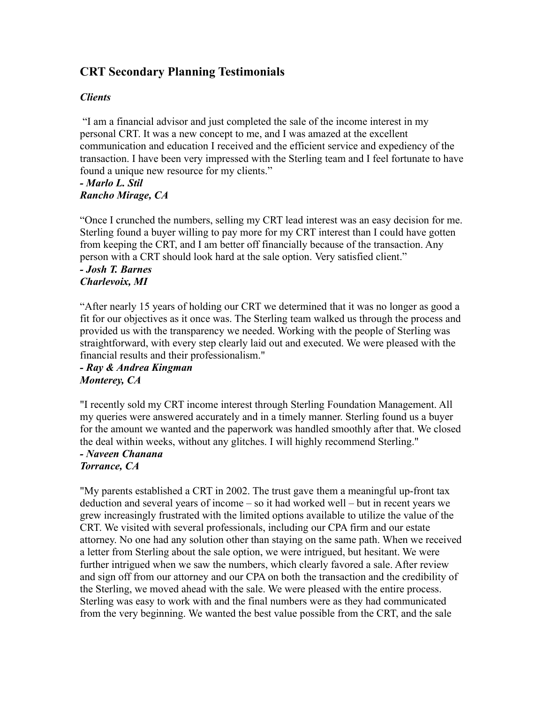# **CRT Secondary Planning Testimonials**

### *Clients*

"I am a financial advisor and just completed the sale of the income interest in my personal CRT. It was a new concept to me, and I was amazed at the excellent communication and education I received and the efficient service and expediency of the transaction. I have been very impressed with the Sterling team and I feel fortunate to have found a unique new resource for my clients."

#### *- Marlo L. Stil Rancho Mirage, CA*

"Once I crunched the numbers, selling my CRT lead interest was an easy decision for me. Sterling found a buyer willing to pay more for my CRT interest than I could have gotten from keeping the CRT, and I am better off financially because of the transaction. Any person with a CRT should look hard at the sale option. Very satisfied client."

#### *- Josh T. Barnes Charlevoix, MI*

"After nearly 15 years of holding our CRT we determined that it was no longer as good a fit for our objectives as it once was. The Sterling team walked us through the process and provided us with the transparency we needed. Working with the people of Sterling was straightforward, with every step clearly laid out and executed. We were pleased with the financial results and their professionalism."

## *- Ray & Andrea Kingman Monterey, CA*

"I recently sold my CRT income interest through Sterling Foundation Management. All my queries were answered accurately and in a timely manner. Sterling found us a buyer for the amount we wanted and the paperwork was handled smoothly after that. We closed the deal within weeks, without any glitches. I will highly recommend Sterling."

#### *- Naveen Chanana Torrance, CA*

"My parents established a CRT in 2002. The trust gave them a meaningful up-front tax deduction and several years of income – so it had worked well – but in recent years we grew increasingly frustrated with the limited options available to utilize the value of the CRT. We visited with several professionals, including our CPA firm and our estate attorney. No one had any solution other than staying on the same path. When we received a letter from Sterling about the sale option, we were intrigued, but hesitant. We were further intrigued when we saw the numbers, which clearly favored a sale. After review and sign off from our attorney and our CPA on both the transaction and the credibility of the Sterling, we moved ahead with the sale. We were pleased with the entire process. Sterling was easy to work with and the final numbers were as they had communicated from the very beginning. We wanted the best value possible from the CRT, and the sale